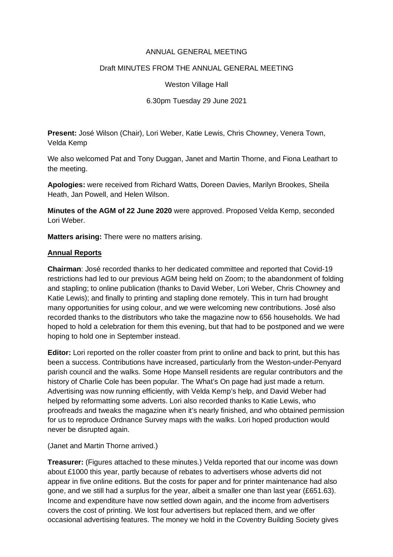## ANNUAL GENERAL MEETING

# Draft MINUTES FROM THE ANNUAL GENERAL MEETING

Weston Village Hall

6.30pm Tuesday 29 June 2021

**Present:** José Wilson (Chair), Lori Weber, Katie Lewis, Chris Chowney, Venera Town, Velda Kemp

We also welcomed Pat and Tony Duggan, Janet and Martin Thorne, and Fiona Leathart to the meeting.

**Apologies:** were received from Richard Watts, Doreen Davies, Marilyn Brookes, Sheila Heath, Jan Powell, and Helen Wilson.

**Minutes of the AGM of 22 June 2020** were approved. Proposed Velda Kemp, seconded Lori Weber.

**Matters arising:** There were no matters arising.

### **Annual Reports**

**Chairman**: José recorded thanks to her dedicated committee and reported that Covid-19 restrictions had led to our previous AGM being held on Zoom; to the abandonment of folding and stapling; to online publication (thanks to David Weber, Lori Weber, Chris Chowney and Katie Lewis); and finally to printing and stapling done remotely. This in turn had brought many opportunities for using colour, and we were welcoming new contributions. José also recorded thanks to the distributors who take the magazine now to 656 households. We had hoped to hold a celebration for them this evening, but that had to be postponed and we were hoping to hold one in September instead.

**Editor:** Lori reported on the roller coaster from print to online and back to print, but this has been a success. Contributions have increased, particularly from the Weston-under-Penyard parish council and the walks. Some Hope Mansell residents are regular contributors and the history of Charlie Cole has been popular. The What's On page had just made a return. Advertising was now running efficiently, with Velda Kemp's help, and David Weber had helped by reformatting some adverts. Lori also recorded thanks to Katie Lewis, who proofreads and tweaks the magazine when it's nearly finished, and who obtained permission for us to reproduce Ordnance Survey maps with the walks. Lori hoped production would never be disrupted again.

(Janet and Martin Thorne arrived.)

**Treasurer:** (Figures attached to these minutes.) Velda reported that our income was down about £1000 this year, partly because of rebates to advertisers whose adverts did not appear in five online editions. But the costs for paper and for printer maintenance had also gone, and we still had a surplus for the year, albeit a smaller one than last year (£651.63). Income and expenditure have now settled down again, and the income from advertisers covers the cost of printing. We lost four advertisers but replaced them, and we offer occasional advertising features. The money we hold in the Coventry Building Society gives